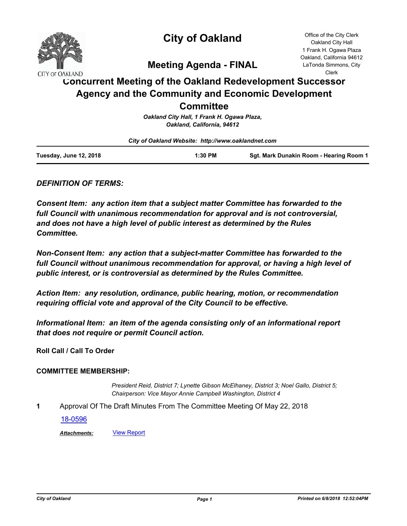

# **City of Oakland**

Office of the City Clerk Oakland City Hall 1 Frank H. Ogawa Plaza Oakland, California 94612 LaTonda Simmons, City Clerk

**Meeting Agenda - FINAL**

# **Concurrent Meeting of the Oakland Redevelopment Successor Agency and the Community and Economic Development Committee**

|                                                    | .                                          |                                         |  |
|----------------------------------------------------|--------------------------------------------|-----------------------------------------|--|
|                                                    | Oakland City Hall, 1 Frank H. Ogawa Plaza, |                                         |  |
|                                                    | Oakland, California, 94612                 |                                         |  |
| City of Oakland Website: http://www.oaklandnet.com |                                            |                                         |  |
| Tuesday, June 12, 2018                             | 1:30 PM                                    | Sat. Mark Dunakin Room - Hearing Room 1 |  |

## *DEFINITION OF TERMS:*

*Consent Item: any action item that a subject matter Committee has forwarded to the full Council with unanimous recommendation for approval and is not controversial, and does not have a high level of public interest as determined by the Rules Committee.*

*Non-Consent Item: any action that a subject-matter Committee has forwarded to the*  full Council without unanimous recommendation for approval, or having a high level of *public interest, or is controversial as determined by the Rules Committee.*

*Action Item: any resolution, ordinance, public hearing, motion, or recommendation requiring official vote and approval of the City Council to be effective.*

*Informational Item: an item of the agenda consisting only of an informational report that does not require or permit Council action.*

**Roll Call / Call To Order**

## **COMMITTEE MEMBERSHIP:**

*President Reid, District 7; Lynette Gibson McElhaney, District 3; Noel Gallo, District 5; Chairperson: Vice Mayor Annie Campbell Washington, District 4*

**1** Approval Of The Draft Minutes From The Committee Meeting Of May 22, 2018

[18-0596](http://oakland.legistar.com/gateway.aspx?m=l&id=/matter.aspx?key=29030)

*Attachments:* [View Report](http://oakland.legistar.com/gateway.aspx?M=F&ID=833e122a-262c-4847-9607-6d630ec7c093.pdf)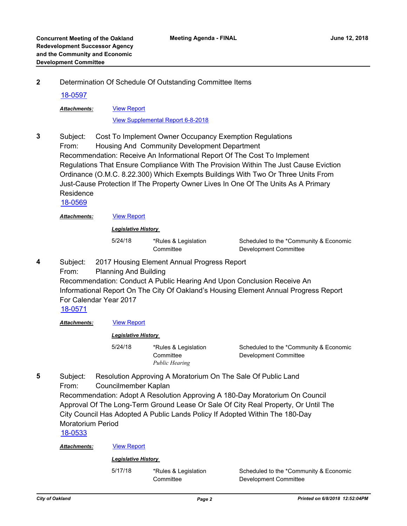**2** Determination Of Schedule Of Outstanding Committee Items

## [18-0597](http://oakland.legistar.com/gateway.aspx?m=l&id=/matter.aspx?key=29031)

[View Report](http://oakland.legistar.com/gateway.aspx?M=F&ID=3cf20738-cf41-45cd-822a-760cc16d2e6a.pdf) *Attachments:*

[View Supplemental Report 6-8-2018](http://oakland.legistar.com/gateway.aspx?M=F&ID=1c77a997-1b72-4109-a1e5-61d0a4e4ce59.pdf)

Subject: Cost To Implement Owner Occupancy Exemption Regulations From: Housing And Community Development Department Recommendation: Receive An Informational Report Of The Cost To Implement Regulations That Ensure Compliance With The Provision Within The Just Cause Eviction Ordinance (O.M.C. 8.22.300) Which Exempts Buildings With Two Or Three Units From Just-Cause Protection If The Property Owner Lives In One Of The Units As A Primary Residence **3**

[18-0569](http://oakland.legistar.com/gateway.aspx?m=l&id=/matter.aspx?key=29004)

Attachments: **[View Report](http://oakland.legistar.com/gateway.aspx?M=F&ID=6335a2c4-d39f-4e0e-bdb1-2ebda92638d9.pdf)** 

*Legislative History* 

5/24/18 \*Rules & Legislation **Committee** 

Scheduled to the \*Community & Economic Development Committee

Subject: 2017 Housing Element Annual Progress Report **4**

> From: Planning And Building Recommendation: Conduct A Public Hearing And Upon Conclusion Receive An Informational Report On The City Of Oakland's Housing Element Annual Progress Report For Calendar Year 2017

[18-0571](http://oakland.legistar.com/gateway.aspx?m=l&id=/matter.aspx?key=29006)

*Attachments:* [View Report](http://oakland.legistar.com/gateway.aspx?M=F&ID=7e459720-2ef2-468d-8acd-f14d58c5aeab.pdf)

## *Legislative History*

5/24/18 \*Rules & Legislation **Committee** 

Scheduled to the \*Community & Economic Development Committee

Subject: Resolution Approving A Moratorium On The Sale Of Public Land From: Councilmember Kaplan Recommendation: Adopt A Resolution Approving A 180-Day Moratorium On Council Approval Of The Long-Term Ground Lease Or Sale Of City Real Property, Or Until The City Council Has Adopted A Public Lands Policy If Adopted Within The 180-Day **5**

*Public Hearing*

Moratorium Period

[18-0533](http://oakland.legistar.com/gateway.aspx?m=l&id=/matter.aspx?key=28968)

Attachments: **[View Report](http://oakland.legistar.com/gateway.aspx?M=F&ID=bc3f1a30-05b6-4078-8db7-2154da97999b.pdf)** 

## *Legislative History*

5/17/18 \*Rules & Legislation **Committee**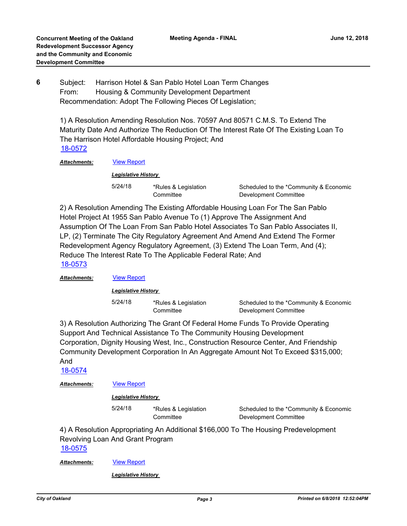Subject: Harrison Hotel & San Pablo Hotel Loan Term Changes From: Housing & Community Development Department Recommendation: Adopt The Following Pieces Of Legislation; **6**

1) A Resolution Amending Resolution Nos. 70597 And 80571 C.M.S. To Extend The Maturity Date And Authorize The Reduction Of The Interest Rate Of The Existing Loan To The Harrison Hotel Affordable Housing Project; And [18-0572](http://oakland.legistar.com/gateway.aspx?m=l&id=/matter.aspx?key=29007)

*Attachments:* [View Report](http://oakland.legistar.com/gateway.aspx?M=F&ID=2410fd46-e041-4ab0-ba29-2a66331507f7.pdf)

#### *Legislative History*

5/24/18 \*Rules & Legislation **Committee** 

Scheduled to the \*Community & Economic Development Committee

2) A Resolution Amending The Existing Affordable Housing Loan For The San Pablo Hotel Project At 1955 San Pablo Avenue To (1) Approve The Assignment And Assumption Of The Loan From San Pablo Hotel Associates To San Pablo Associates II, LP, (2) Terminate The City Regulatory Agreement And Amend And Extend The Former Redevelopment Agency Regulatory Agreement, (3) Extend The Loan Term, And (4); Reduce The Interest Rate To The Applicable Federal Rate; And [18-0573](http://oakland.legistar.com/gateway.aspx?m=l&id=/matter.aspx?key=29008)

## *Attachments:* [View Report](http://oakland.legistar.com/gateway.aspx?M=F&ID=a6b7eda0-878b-4995-8eaa-669b61e5f3c2.pdf)

*Legislative History* 

5/24/18 \*Rules & Legislation **Committee** 

Scheduled to the \*Community & Economic Development Committee

3) A Resolution Authorizing The Grant Of Federal Home Funds To Provide Operating Support And Technical Assistance To The Community Housing Development Corporation, Dignity Housing West, Inc., Construction Resource Center, And Friendship Community Development Corporation In An Aggregate Amount Not To Exceed \$315,000; And

[18-0574](http://oakland.legistar.com/gateway.aspx?m=l&id=/matter.aspx?key=29009)

*Attachments:* [View Report](http://oakland.legistar.com/gateway.aspx?M=F&ID=0947259f-299a-4ce2-9492-95d5f11cb528.pdf)

## *Legislative History*

5/24/18 \*Rules & Legislation **Committee** 

Scheduled to the \*Community & Economic Development Committee

4) A Resolution Appropriating An Additional \$166,000 To The Housing Predevelopment Revolving Loan And Grant Program [18-0575](http://oakland.legistar.com/gateway.aspx?m=l&id=/matter.aspx?key=29010)

*Attachments:* [View Report](http://oakland.legistar.com/gateway.aspx?M=F&ID=37e83059-4e0d-4d85-8fe9-a4deea3d438e.pdf)

## *Legislative History*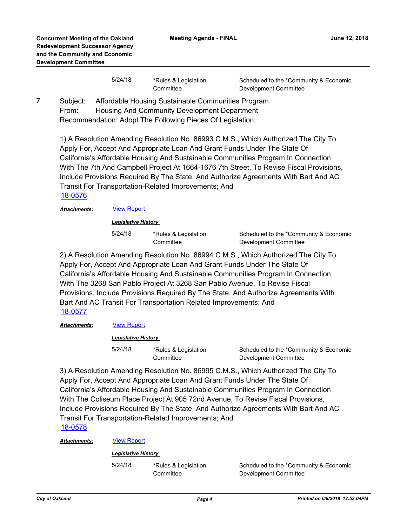| 5/24/18 | *Rules & Legislation<br>Committee | Scheduled to the *Community & Economic<br>Development Committee |
|---------|-----------------------------------|-----------------------------------------------------------------|
|         |                                   |                                                                 |

Subject: Affordable Housing Sustainable Communities Program From: Housing And Community Development Department Recommendation: Adopt The Following Pieces Of Legislation; **7**

> 1) A Resolution Amending Resolution No. 86993 C.M.S., Which Authorized The City To Apply For, Accept And Appropriate Loan And Grant Funds Under The State Of California's Affordable Housing And Sustainable Communities Program In Connection With The 7th And Campbell Project At 1664-1676 7th Street, To Revise Fiscal Provisions, Include Provisions Required By The State, And Authorize Agreements With Bart And AC Transit For Transportation-Related Improvements; And [18-0576](http://oakland.legistar.com/gateway.aspx?m=l&id=/matter.aspx?key=29011)

*Attachments:* [View Report](http://oakland.legistar.com/gateway.aspx?M=F&ID=02b9e21f-889a-47b2-a5c4-0972ee9f5f11.pdf)

*Legislative History* 

5/24/18 \*Rules & Legislation **Committee** 

Scheduled to the \*Community & Economic Development Committee

2) A Resolution Amending Resolution No. 86994 C.M.S., Which Authorized The City To Apply For, Accept And Appropriate Loan And Grant Funds Under The State Of California's Affordable Housing And Sustainable Communities Program In Connection With The 3268 San Pablo Project At 3268 San Pablo Avenue, To Revise Fiscal Provisions, Include Provisions Required By The State, And Authorize Agreements With Bart And AC Transit For Transportation Related Improvements; And [18-0577](http://oakland.legistar.com/gateway.aspx?m=l&id=/matter.aspx?key=29012)

*Attachments:* [View Report](http://oakland.legistar.com/gateway.aspx?M=F&ID=ebc2e42a-8c3f-4087-b27a-b49cfb3cfd77.pdf)

*Legislative History* 

5/24/18 \*Rules & Legislation **Committee** 

Scheduled to the \*Community & Economic Development Committee

3) A Resolution Amending Resolution No. 86995 C.M.S., Which Authorized The City To Apply For, Accept And Appropriate Loan And Grant Funds Under The State Of California's Affordable Housing And Sustainable Communities Program In Connection With The Coliseum Place Project At 905 72nd Avenue, To Revise Fiscal Provisions, Include Provisions Required By The State, And Authorize Agreements With Bart And AC Transit For Transportation-Related Improvements; And [18-0578](http://oakland.legistar.com/gateway.aspx?m=l&id=/matter.aspx?key=29013)

*Attachments:* [View Report](http://oakland.legistar.com/gateway.aspx?M=F&ID=00d4e315-3d70-445a-91f1-d6be31630108.pdf)

## *Legislative History*

5/24/18 \*Rules & Legislation

**Committee**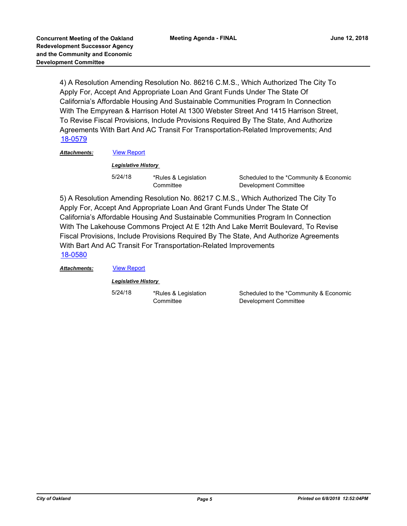4) A Resolution Amending Resolution No. 86216 C.M.S., Which Authorized The City To Apply For, Accept And Appropriate Loan And Grant Funds Under The State Of California's Affordable Housing And Sustainable Communities Program In Connection With The Empyrean & Harrison Hotel At 1300 Webster Street And 1415 Harrison Street, To Revise Fiscal Provisions, Include Provisions Required By The State, And Authorize Agreements With Bart And AC Transit For Transportation-Related Improvements; And [18-0579](http://oakland.legistar.com/gateway.aspx?m=l&id=/matter.aspx?key=29014)

## *Attachments:* [View Report](http://oakland.legistar.com/gateway.aspx?M=F&ID=06c82c8e-0077-4024-a175-10a485dacd89.pdf)

## *Legislative History*

5/24/18 \*Rules & Legislation **Committee** 

Scheduled to the \*Community & Economic Development Committee

5) A Resolution Amending Resolution No. 86217 C.M.S., Which Authorized The City To Apply For, Accept And Appropriate Loan And Grant Funds Under The State Of California's Affordable Housing And Sustainable Communities Program In Connection With The Lakehouse Commons Project At E 12th And Lake Merrit Boulevard, To Revise Fiscal Provisions, Include Provisions Required By The State, And Authorize Agreements With Bart And AC Transit For Transportation-Related Improvements [18-0580](http://oakland.legistar.com/gateway.aspx?m=l&id=/matter.aspx?key=29015)

*Attachments:* [View Report](http://oakland.legistar.com/gateway.aspx?M=F&ID=7a7f7fb8-5add-4ca1-aa6f-824e8609c8ac.pdf)

*Legislative History* 

5/24/18 \*Rules & Legislation **Committee**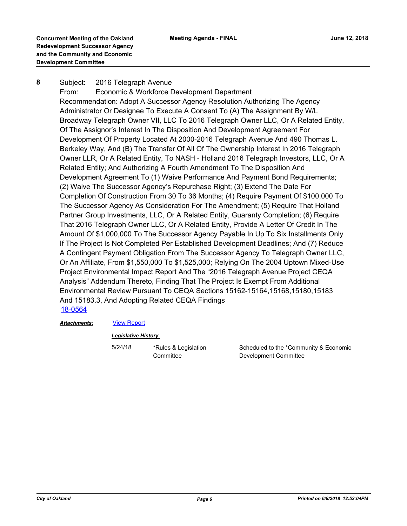#### Subject: 2016 Telegraph Avenue **8**

From: Economic & Workforce Development Department Recommendation: Adopt A Successor Agency Resolution Authorizing The Agency Administrator Or Designee To Execute A Consent To (A) The Assignment By W/L Broadway Telegraph Owner VII, LLC To 2016 Telegraph Owner LLC, Or A Related Entity, Of The Assignor's Interest In The Disposition And Development Agreement For Development Of Property Located At 2000-2016 Telegraph Avenue And 490 Thomas L. Berkeley Way, And (B) The Transfer Of All Of The Ownership Interest In 2016 Telegraph Owner LLR, Or A Related Entity, To NASH - Holland 2016 Telegraph Investors, LLC, Or A Related Entity; And Authorizing A Fourth Amendment To The Disposition And Development Agreement To (1) Waive Performance And Payment Bond Requirements; (2) Waive The Successor Agency's Repurchase Right; (3) Extend The Date For Completion Of Construction From 30 To 36 Months; (4) Require Payment Of \$100,000 To The Successor Agency As Consideration For The Amendment; (5) Require That Holland Partner Group Investments, LLC, Or A Related Entity, Guaranty Completion; (6) Require That 2016 Telegraph Owner LLC, Or A Related Entity, Provide A Letter Of Credit In The Amount Of \$1,000,000 To The Successor Agency Payable In Up To Six Installments Only If The Project Is Not Completed Per Established Development Deadlines; And (7) Reduce A Contingent Payment Obligation From The Successor Agency To Telegraph Owner LLC, Or An Affiliate, From \$1,550,000 To \$1,525,000; Relying On The 2004 Uptown Mixed-Use Project Environmental Impact Report And The "2016 Telegraph Avenue Project CEQA Analysis" Addendum Thereto, Finding That The Project Is Exempt From Additional Environmental Review Pursuant To CEQA Sections 15162-15164,15168,15180,15183 And 15183.3, And Adopting Related CEQA Findings [18-0564](http://oakland.legistar.com/gateway.aspx?m=l&id=/matter.aspx?key=28999)

## *Attachments:* [View Report](http://oakland.legistar.com/gateway.aspx?M=F&ID=3398b75f-a720-482c-80a0-acfc97990c1e.pdf)

## *Legislative History*

5/24/18 \*Rules & Legislation **Committee**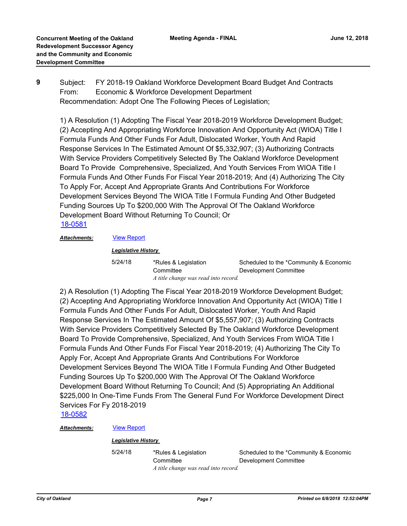Subject: FY 2018-19 Oakland Workforce Development Board Budget And Contracts From: Economic & Workforce Development Department Recommendation: Adopt One The Following Pieces of Legislation; **9**

1) A Resolution (1) Adopting The Fiscal Year 2018-2019 Workforce Development Budget; (2) Accepting And Appropriating Workforce Innovation And Opportunity Act (WIOA) Title I Formula Funds And Other Funds For Adult, Dislocated Worker, Youth And Rapid Response Services In The Estimated Amount Of \$5,332,907; (3) Authorizing Contracts With Service Providers Competitively Selected By The Oakland Workforce Development Board To Provide Comprehensive, Specialized, And Youth Services From WIOA Title I Formula Funds And Other Funds For Fiscal Year 2018-2019; And (4) Authorizing The City To Apply For, Accept And Appropriate Grants And Contributions For Workforce Development Services Beyond The WIOA Title I Formula Funding And Other Budgeted Funding Sources Up To \$200,000 With The Approval Of The Oakland Workforce Development Board Without Returning To Council; Or [18-0581](http://oakland.legistar.com/gateway.aspx?m=l&id=/matter.aspx?key=29016)

*Attachments:* [View Report](http://oakland.legistar.com/gateway.aspx?M=F&ID=c22b1fbb-6aab-41d7-8810-08bcc003dee2.pdf)

*Legislative History* 

**Committee** 

5/24/18 \*Rules & Legislation

Scheduled to the \*Community & Economic Development Committee *A title change was read into record.*

2) A Resolution (1) Adopting The Fiscal Year 2018-2019 Workforce Development Budget; (2) Accepting And Appropriating Workforce Innovation And Opportunity Act (WIOA) Title I Formula Funds And Other Funds For Adult, Dislocated Worker, Youth And Rapid Response Services In The Estimated Amount Of \$5,557,907; (3) Authorizing Contracts With Service Providers Competitively Selected By The Oakland Workforce Development Board To Provide Comprehensive, Specialized, And Youth Services From WIOA Title I Formula Funds And Other Funds For Fiscal Year 2018-2019; (4) Authorizing The City To Apply For, Accept And Appropriate Grants And Contributions For Workforce Development Services Beyond The WIOA Title I Formula Funding And Other Budgeted Funding Sources Up To \$200,000 With The Approval Of The Oakland Workforce Development Board Without Returning To Council; And (5) Appropriating An Additional \$225,000 In One-Time Funds From The General Fund For Workforce Development Direct Services For Fy 2018-2019

[18-0582](http://oakland.legistar.com/gateway.aspx?m=l&id=/matter.aspx?key=29017)

## *Attachments:* [View Report](http://oakland.legistar.com/gateway.aspx?M=F&ID=c7d9f113-ca59-42b6-8487-9c60f18ace13.pdf)

## *Legislative History*

5/24/18 \*Rules & Legislation **Committee** Scheduled to the \*Community & Economic Development Committee *A title change was read into record.*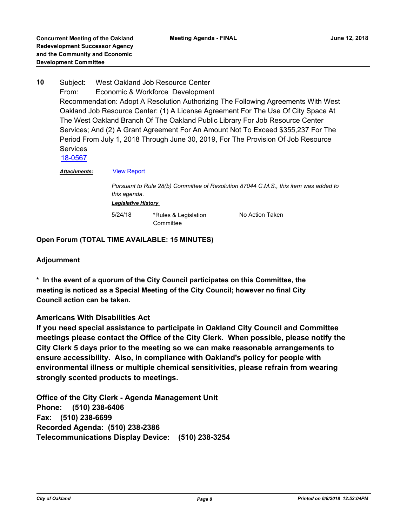Subject: West Oakland Job Resource Center From: Economic & Workforce Development Recommendation: Adopt A Resolution Authorizing The Following Agreements With West Oakland Job Resource Center: (1) A License Agreement For The Use Of City Space At The West Oakland Branch Of The Oakland Public Library For Job Resource Center Services; And (2) A Grant Agreement For An Amount Not To Exceed \$355,237 For The Period From July 1, 2018 Through June 30, 2019, For The Provision Of Job Resource **Services 10** [18-0567](http://oakland.legistar.com/gateway.aspx?m=l&id=/matter.aspx?key=29002)

Attachments: **[View Report](http://oakland.legistar.com/gateway.aspx?M=F&ID=4f9af18b-f2c3-4b06-b916-b2a03f1fa3b3.pdf)** 

*Pursuant to Rule 28(b) Committee of Resolution 87044 C.M.S., this item was added to this agenda. Legislative History*  5/24/18 \*Rules & Legislation No Action Taken

**Committee** 

**Open Forum (TOTAL TIME AVAILABLE: 15 MINUTES)**

## **Adjournment**

**\* In the event of a quorum of the City Council participates on this Committee, the meeting is noticed as a Special Meeting of the City Council; however no final City Council action can be taken.**

## **Americans With Disabilities Act**

**If you need special assistance to participate in Oakland City Council and Committee meetings please contact the Office of the City Clerk. When possible, please notify the City Clerk 5 days prior to the meeting so we can make reasonable arrangements to ensure accessibility. Also, in compliance with Oakland's policy for people with environmental illness or multiple chemical sensitivities, please refrain from wearing strongly scented products to meetings.**

**Office of the City Clerk - Agenda Management Unit Phone: (510) 238-6406 Fax: (510) 238-6699 Recorded Agenda: (510) 238-2386 Telecommunications Display Device: (510) 238-3254**